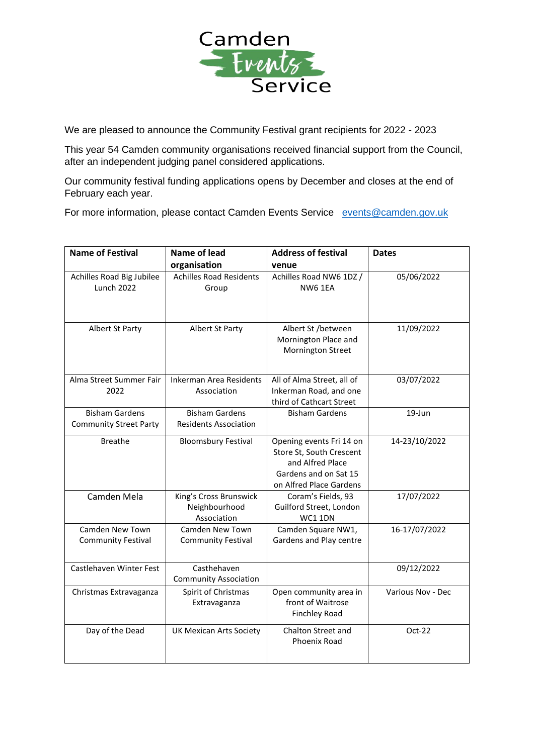

We are pleased to announce the Community Festival grant recipients for 2022 - 2023

This year 54 Camden community organisations received financial support from the Council, after an independent judging panel considered applications.

Our community festival funding applications opens by December and closes at the end of February each year.

For more information, please contact Camden Events Service [events@camden.gov.uk](mailto:events@camden.gov.uk)

| <b>Name of Festival</b>                                | <b>Name of lead</b><br>organisation                    | <b>Address of festival</b><br>venue                                                                                          | <b>Dates</b>      |
|--------------------------------------------------------|--------------------------------------------------------|------------------------------------------------------------------------------------------------------------------------------|-------------------|
| Achilles Road Big Jubilee<br><b>Lunch 2022</b>         | <b>Achilles Road Residents</b><br>Group                | Achilles Road NW6 1DZ /<br><b>NW6 1EA</b>                                                                                    | 05/06/2022        |
| Albert St Party                                        | Albert St Party                                        | Albert St /between<br>Mornington Place and<br>Mornington Street                                                              | 11/09/2022        |
| Alma Street Summer Fair<br>2022                        | <b>Inkerman Area Residents</b><br>Association          | All of Alma Street, all of<br>Inkerman Road, and one<br>third of Cathcart Street                                             | 03/07/2022        |
| <b>Bisham Gardens</b><br><b>Community Street Party</b> | <b>Bisham Gardens</b><br><b>Residents Association</b>  | <b>Bisham Gardens</b>                                                                                                        | 19-Jun            |
| <b>Breathe</b>                                         | <b>Bloomsbury Festival</b>                             | Opening events Fri 14 on<br>Store St, South Crescent<br>and Alfred Place<br>Gardens and on Sat 15<br>on Alfred Place Gardens | 14-23/10/2022     |
| Camden Mela                                            | King's Cross Brunswick<br>Neighbourhood<br>Association | Coram's Fields, 93<br>Guilford Street, London<br>WC1 1DN                                                                     | 17/07/2022        |
| Camden New Town<br><b>Community Festival</b>           | Camden New Town<br><b>Community Festival</b>           | Camden Square NW1,<br>Gardens and Play centre                                                                                | 16-17/07/2022     |
| Castlehaven Winter Fest                                | Casthehaven<br><b>Community Association</b>            |                                                                                                                              | 09/12/2022        |
| Christmas Extravaganza                                 | Spirit of Christmas<br>Extravaganza                    | Open community area in<br>front of Waitrose<br><b>Finchley Road</b>                                                          | Various Nov - Dec |
| Day of the Dead                                        | <b>UK Mexican Arts Society</b>                         | Chalton Street and<br>Phoenix Road                                                                                           | Oct-22            |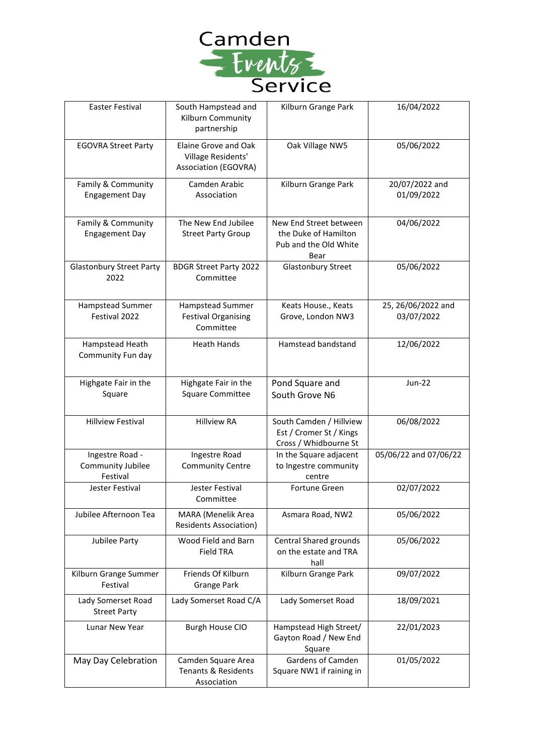

| <b>Easter Festival</b>                           | South Hampstead and<br>Kilburn Community<br>partnership                   | Kilburn Grange Park                                                             | 16/04/2022                       |
|--------------------------------------------------|---------------------------------------------------------------------------|---------------------------------------------------------------------------------|----------------------------------|
| <b>EGOVRA Street Party</b>                       | Elaine Grove and Oak<br>Village Residents'<br><b>Association (EGOVRA)</b> | Oak Village NW5                                                                 | 05/06/2022                       |
| Family & Community<br><b>Engagement Day</b>      | Camden Arabic<br>Association                                              | Kilburn Grange Park                                                             | 20/07/2022 and<br>01/09/2022     |
| Family & Community<br><b>Engagement Day</b>      | The New End Jubilee<br><b>Street Party Group</b>                          | New End Street between<br>the Duke of Hamilton<br>Pub and the Old White<br>Bear | 04/06/2022                       |
| <b>Glastonbury Street Party</b><br>2022          | <b>BDGR Street Party 2022</b><br>Committee                                | Glastonbury Street                                                              | 05/06/2022                       |
| Hampstead Summer<br>Festival 2022                | Hampstead Summer<br><b>Festival Organising</b><br>Committee               | Keats House., Keats<br>Grove, London NW3                                        | 25, 26/06/2022 and<br>03/07/2022 |
| Hampstead Heath<br>Community Fun day             | <b>Heath Hands</b>                                                        | Hamstead bandstand                                                              | 12/06/2022                       |
| Highgate Fair in the<br>Square                   | Highgate Fair in the<br>Square Committee                                  | Pond Square and<br>South Grove N6                                               | <b>Jun-22</b>                    |
| <b>Hillview Festival</b>                         | <b>Hillview RA</b>                                                        | South Camden / Hillview<br>Est / Cromer St / Kings<br>Cross / Whidbourne St     | 06/08/2022                       |
| Ingestre Road -<br>Community Jubilee<br>Festival | Ingestre Road<br><b>Community Centre</b>                                  | In the Square adjacent<br>to Ingestre community<br>centre                       | 05/06/22 and 07/06/22            |
| Jester Festival                                  | Jester Festival<br>Committee                                              | <b>Fortune Green</b>                                                            | 02/07/2022                       |
| Jubilee Afternoon Tea                            | MARA (Menelik Area<br><b>Residents Association)</b>                       | Asmara Road, NW2                                                                | 05/06/2022                       |
| Jubilee Party                                    | Wood Field and Barn<br><b>Field TRA</b>                                   | Central Shared grounds<br>on the estate and TRA<br>hall                         | 05/06/2022                       |
| Kilburn Grange Summer<br>Festival                | Friends Of Kilburn<br><b>Grange Park</b>                                  | Kilburn Grange Park                                                             | 09/07/2022                       |
| Lady Somerset Road<br><b>Street Party</b>        | Lady Somerset Road C/A                                                    | Lady Somerset Road                                                              | 18/09/2021                       |
| Lunar New Year                                   | <b>Burgh House CIO</b>                                                    | Hampstead High Street/<br>Gayton Road / New End<br>Square                       | 22/01/2023                       |
| May Day Celebration                              | Camden Square Area<br><b>Tenants &amp; Residents</b><br>Association       | Gardens of Camden<br>Square NW1 if raining in                                   | 01/05/2022                       |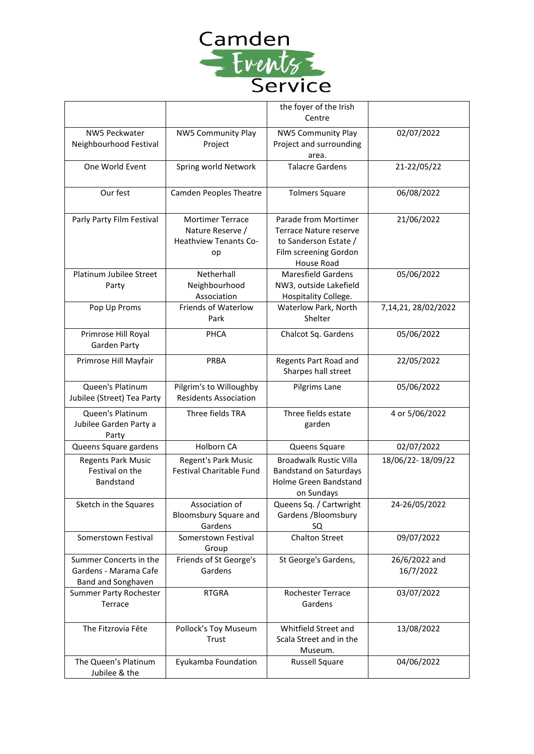

|                                                                       |                                                                                   | the foyer of the Irish<br>Centre                                                                                      |                            |
|-----------------------------------------------------------------------|-----------------------------------------------------------------------------------|-----------------------------------------------------------------------------------------------------------------------|----------------------------|
| NW5 Peckwater<br>Neighbourhood Festival                               | <b>NW5 Community Play</b><br>Project                                              | <b>NW5 Community Play</b><br>Project and surrounding<br>area.                                                         | 02/07/2022                 |
| One World Event                                                       | Spring world Network                                                              | <b>Talacre Gardens</b>                                                                                                | 21-22/05/22                |
| Our fest                                                              | <b>Camden Peoples Theatre</b>                                                     | <b>Tolmers Square</b>                                                                                                 | 06/08/2022                 |
| Parly Party Film Festival                                             | <b>Mortimer Terrace</b><br>Nature Reserve /<br><b>Heathview Tenants Co-</b><br>op | Parade from Mortimer<br>Terrace Nature reserve<br>to Sanderson Estate /<br>Film screening Gordon<br><b>House Road</b> | 21/06/2022                 |
| Platinum Jubilee Street<br>Party                                      | Netherhall<br>Neighbourhood<br>Association                                        | <b>Maresfield Gardens</b><br>NW3, outside Lakefield<br>Hospitality College.                                           | 05/06/2022                 |
| Pop Up Proms                                                          | <b>Friends of Waterlow</b><br>Park                                                | Waterlow Park, North<br>Shelter                                                                                       | 7,14,21, 28/02/2022        |
| Primrose Hill Royal<br>Garden Party                                   | PHCA                                                                              | Chalcot Sq. Gardens                                                                                                   | 05/06/2022                 |
| Primrose Hill Mayfair                                                 | PRBA                                                                              | Regents Part Road and<br>Sharpes hall street                                                                          | 22/05/2022                 |
| Queen's Platinum<br>Jubilee (Street) Tea Party                        | Pilgrim's to Willoughby<br><b>Residents Association</b>                           | Pilgrims Lane                                                                                                         | 05/06/2022                 |
| Queen's Platinum<br>Jubilee Garden Party a<br>Party                   | Three fields TRA                                                                  | Three fields estate<br>garden                                                                                         | 4 or 5/06/2022             |
| Queens Square gardens                                                 | Holborn CA                                                                        | Queens Square                                                                                                         | 02/07/2022                 |
| <b>Regents Park Music</b><br>Festival on the<br>Bandstand             | Regent's Park Music<br><b>Festival Charitable Fund</b>                            | <b>Broadwalk Rustic Villa</b><br><b>Bandstand on Saturdays</b><br>Holme Green Bandstand<br>on Sundays                 | 18/06/22-18/09/22          |
| Sketch in the Squares                                                 | Association of<br>Bloomsbury Square and<br>Gardens                                | Queens Sq. / Cartwright<br>Gardens /Bloomsbury<br>SQ                                                                  | 24-26/05/2022              |
| Somerstown Festival                                                   | Somerstown Festival<br>Group                                                      | <b>Chalton Street</b>                                                                                                 | 09/07/2022                 |
| Summer Concerts in the<br>Gardens - Marama Cafe<br>Band and Songhaven | Friends of St George's<br>Gardens                                                 | St George's Gardens,                                                                                                  | 26/6/2022 and<br>16/7/2022 |
| Summer Party Rochester<br>Terrace                                     | <b>RTGRA</b>                                                                      | Rochester Terrace<br>Gardens                                                                                          | 03/07/2022                 |
| The Fitzrovia Fête                                                    | Pollock's Toy Museum<br>Trust                                                     | Whitfield Street and<br>Scala Street and in the<br>Museum.                                                            | 13/08/2022                 |
| The Queen's Platinum<br>Jubilee & the                                 | Eyukamba Foundation                                                               | Russell Square                                                                                                        | 04/06/2022                 |